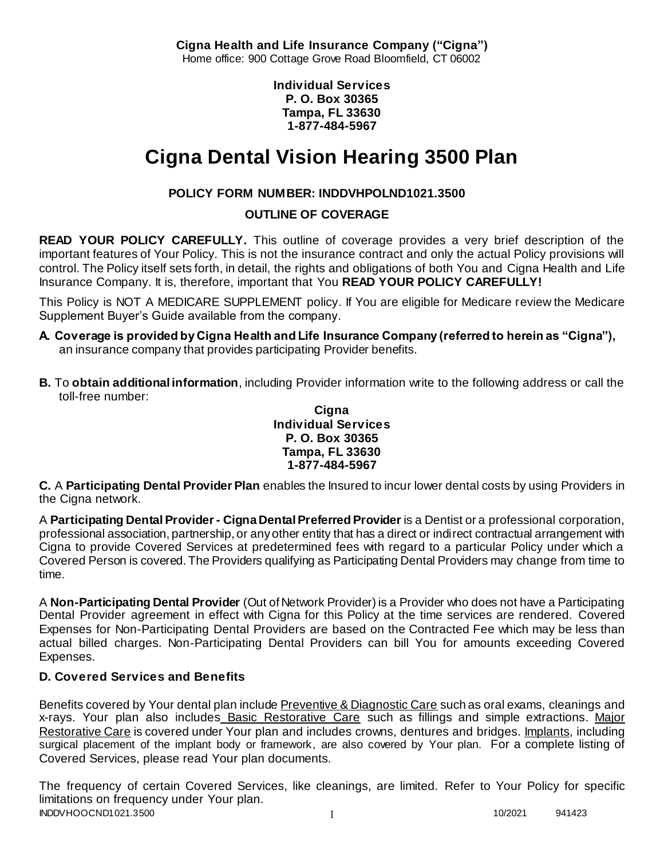**Cigna Health and Life Insurance Company ("Cigna")** Home office: 900 Cottage Grove Road Bloomfield, CT 06002

> **Individual Services P. O. Box 30365 Tampa, FL 33630 1-877-484-5967**

# **Cigna Dental Vision Hearing 3500 Plan**

# **POLICY FORM NUMBER: INDDVHPOLND1021.3500**

# **OUTLINE OF COVERAGE**

**READ YOUR POLICY CAREFULLY.** This outline of coverage provides a very brief description of the important features of Your Policy. This is not the insurance contract and only the actual Policy provisions will control. The Policy itself sets forth, in detail, the rights and obligations of both You and Cigna Health and Life Insurance Company. It is, therefore, important that You **READ YOUR POLICY CAREFULLY!** 

This Policy is NOT A MEDICARE SUPPLEMENT policy. If You are eligible for Medicare review the Medicare Supplement Buyer's Guide available from the company.

- **A. Coverage is provided by Cigna Health and Life Insurance Company (referred to herein as "Cigna"),**  an insurance company that provides participating Provider benefits.
- **B.** To **obtain additional information**, including Provider information write to the following address or call the toll-free number:

### **Cigna Individual Services P. O. Box 30365 Tampa, FL 33630 1-877-484-5967**

**C.** A **Participating Dental Provider Plan** enables the Insured to incur lower dental costs by using Providers in the Cigna network.

A **Participating Dental Provider - Cigna Dental Preferred Provider** is a Dentist or a professional corporation, professional association, partnership, or any other entity that has a direct or indirect contractual arrangement with Cigna to provide Covered Services at predetermined fees with regard to a particular Policy under which a Covered Person is covered. The Providers qualifying as Participating Dental Providers may change from time to time.

A **Non-Participating Dental Provider** (Out of Network Provider) is a Provider who does not have a Participating Dental Provider agreement in effect with Cigna for this Policy at the time services are rendered. Covered Expenses for Non-Participating Dental Providers are based on the Contracted Fee which may be less than actual billed charges. Non-Participating Dental Providers can bill You for amounts exceeding Covered Expenses.

# **D. Covered Services and Benefits**

Benefits covered by Your dental plan include Preventive & Diagnostic Care such as oral exams, cleanings and x-rays. Your plan also includes Basic Restorative Care such as fillings and simple extractions. Major Restorative Care is covered under Your plan and includes crowns, dentures and bridges. Implants, including surgical placement of the implant body or framework, are also covered by Your plan. For a complete listing of Covered Services, please read Your plan documents.

INDDVHOOCND1021.3500 1 20020 1 20020 1 20020 1 20020 1 20020 1 20020 1 20020 1 20020 1 20020 1 20020 1 20020 1 20020 1 20020 1 20020 1 20020 1 20020 1 20020 1 20020 1 20020 1 20020 1 20020 1 20020 1 20020 1 20020 1 20020 1 The frequency of certain Covered Services, like cleanings, are limited. Refer to Your Policy for specific limitations on frequency under Your plan.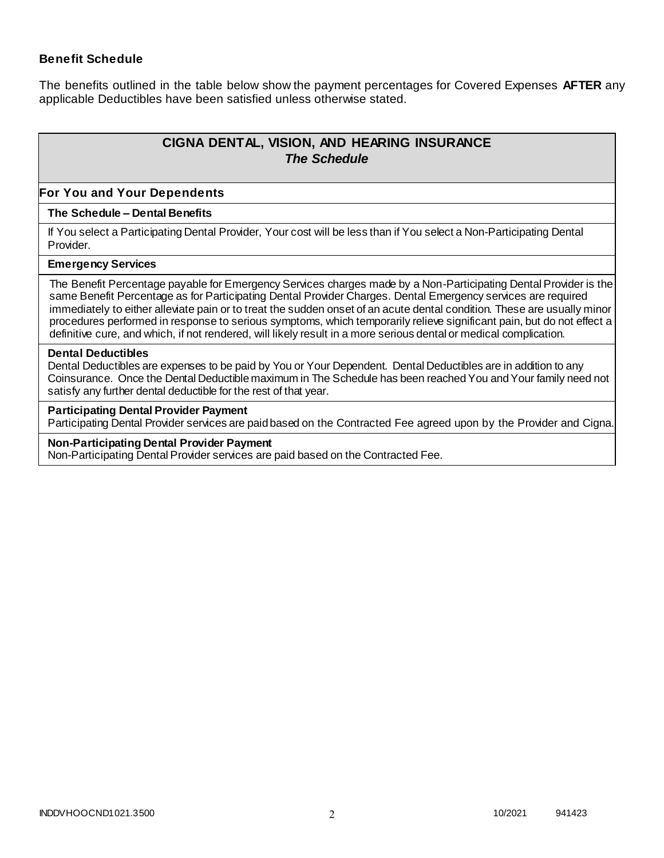### **Benefit Schedule**

The benefits outlined in the table below show the payment percentages for Covered Expenses **AFTER** any applicable Deductibles have been satisfied unless otherwise stated.

# **CIGNA DENTAL, VISION, AND HEARING INSURANCE** *The Schedule*

#### **For You and Your Dependents**

### **The Schedule – Dental Benefits**

If You select a Participating Dental Provider, Your cost will be less than if You select a Non-Participating Dental Provider.

#### **Emergency Services**

The Benefit Percentage payable for Emergency Services charges made by a Non-Participating Dental Provider is the same Benefit Percentage as for Participating Dental Provider Charges. Dental Emergency services are required immediately to either alleviate pain or to treat the sudden onset of an acute dental condition. These are usually minor procedures performed in response to serious symptoms, which temporarily relieve significant pain, but do not effect a definitive cure, and which, if not rendered, will likely result in a more serious dental or medical complication.

#### **Dental Deductibles**

Dental Deductibles are expenses to be paid by You or Your Dependent. Dental Deductibles are in addition to any Coinsurance. Once the Dental Deductible maximum in The Schedule has been reached You and Your family need not satisfy any further dental deductible for the rest of that year.

#### **Participating Dental Provider Payment**

Participating Dental Provider services are paid based on the Contracted Fee agreed upon by the Provider and Cigna.

#### **Non-Participating Dental Provider Payment**

Non-Participating Dental Provider services are paid based on the Contracted Fee.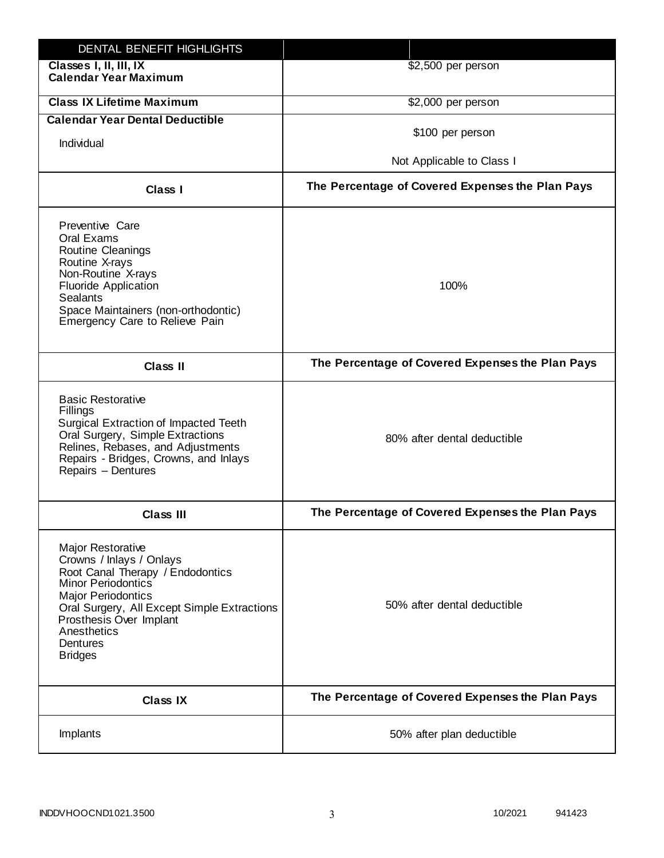| DENTAL BENEFIT HIGHLIGHTS                                                                                                                                                                                                                                                 |                                                  |
|---------------------------------------------------------------------------------------------------------------------------------------------------------------------------------------------------------------------------------------------------------------------------|--------------------------------------------------|
| Classes I, II, III, IX<br><b>Calendar Year Maximum</b>                                                                                                                                                                                                                    | \$2,500 per person                               |
| <b>Class IX Lifetime Maximum</b>                                                                                                                                                                                                                                          | \$2,000 per person                               |
| <b>Calendar Year Dental Deductible</b>                                                                                                                                                                                                                                    |                                                  |
| Individual                                                                                                                                                                                                                                                                | \$100 per person                                 |
|                                                                                                                                                                                                                                                                           | Not Applicable to Class I                        |
| Class I                                                                                                                                                                                                                                                                   | The Percentage of Covered Expenses the Plan Pays |
| Preventive Care<br>Oral Exams<br>Routine Cleanings<br>Routine X-rays<br>Non-Routine X-rays<br><b>Fluoride Application</b><br><b>Sealants</b><br>Space Maintainers (non-orthodontic)<br>Emergency Care to Relieve Pain                                                     | 100%                                             |
| <b>Class II</b>                                                                                                                                                                                                                                                           | The Percentage of Covered Expenses the Plan Pays |
| <b>Basic Restorative</b><br>Fillings<br>Surgical Extraction of Impacted Teeth<br>Oral Surgery, Simple Extractions<br>Relines, Rebases, and Adjustments<br>Repairs - Bridges, Crowns, and Inlays<br>Repairs - Dentures                                                     | 80% after dental deductible                      |
| <b>Class III</b>                                                                                                                                                                                                                                                          | The Percentage of Covered Expenses the Plan Pays |
| <b>Major Restorative</b><br>Crowns / Inlays / Onlays<br>Root Canal Therapy / Endodontics<br><b>Minor Periodontics</b><br><b>Major Periodontics</b><br>Oral Surgery, All Except Simple Extractions<br>Prosthesis Over Implant<br>Anesthetics<br>Dentures<br><b>Bridges</b> | 50% after dental deductible                      |
| <b>Class IX</b>                                                                                                                                                                                                                                                           | The Percentage of Covered Expenses the Plan Pays |
| Implants                                                                                                                                                                                                                                                                  | 50% after plan deductible                        |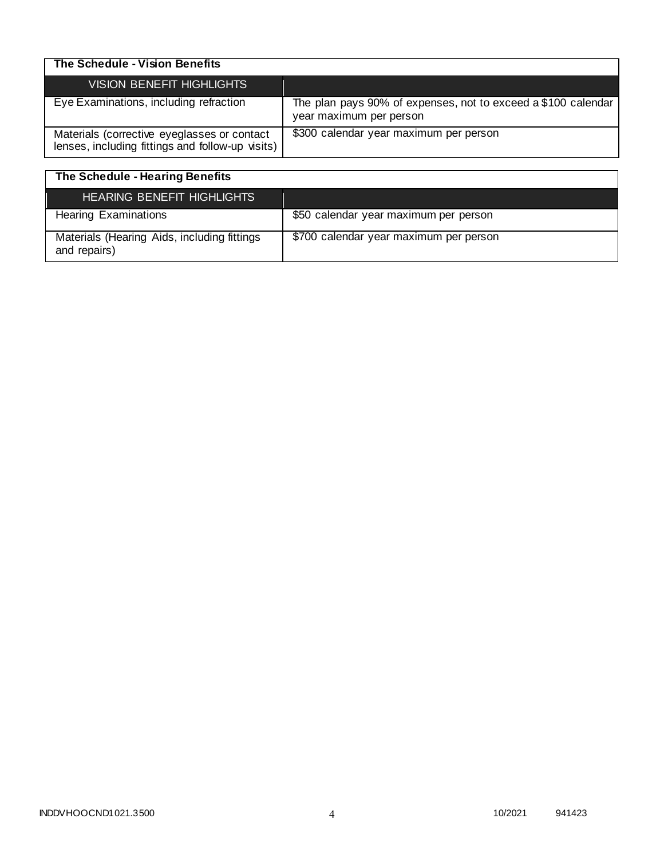| The Schedule - Vision Benefits                                                                  |                                                                                          |
|-------------------------------------------------------------------------------------------------|------------------------------------------------------------------------------------------|
| <b>VISION BENEFIT HIGHLIGHTS</b>                                                                |                                                                                          |
| Eye Examinations, including refraction                                                          | The plan pays 90% of expenses, not to exceed a \$100 calendar<br>year maximum per person |
| Materials (corrective eyeglasses or contact<br>lenses, including fittings and follow-up visits) | \$300 calendar year maximum per person                                                   |

| The Schedule - Hearing Benefits                             |                                        |
|-------------------------------------------------------------|----------------------------------------|
| <b>HEARING BENEFIT HIGHLIGHTS</b>                           |                                        |
| <b>Hearing Examinations</b>                                 | \$50 calendar year maximum per person  |
| Materials (Hearing Aids, including fittings<br>and repairs) | \$700 calendar year maximum per person |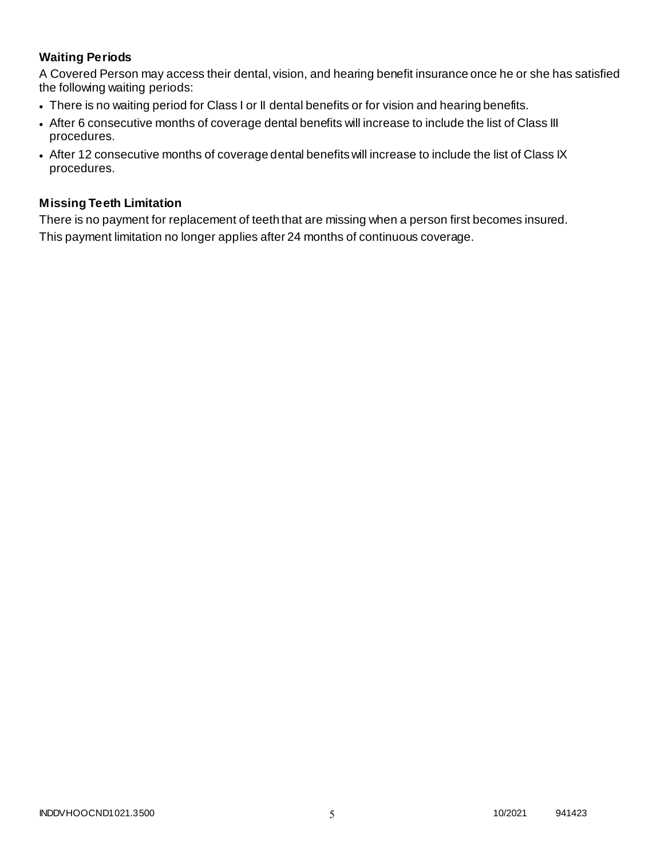# **Waiting Periods**

A Covered Person may access their dental, vision, and hearing benefit insurance once he or she has satisfied the following waiting periods:

- There is no waiting period for Class I or II dental benefits or for vision and hearing benefits.
- After 6 consecutive months of coverage dental benefits will increase to include the list of Class III procedures.
- After 12 consecutive months of coverage dental benefits will increase to include the list of Class IX procedures.

### **Missing Teeth Limitation**

There is no payment for replacement of teeth that are missing when a person first becomes insured. This payment limitation no longer applies after 24 months of continuous coverage.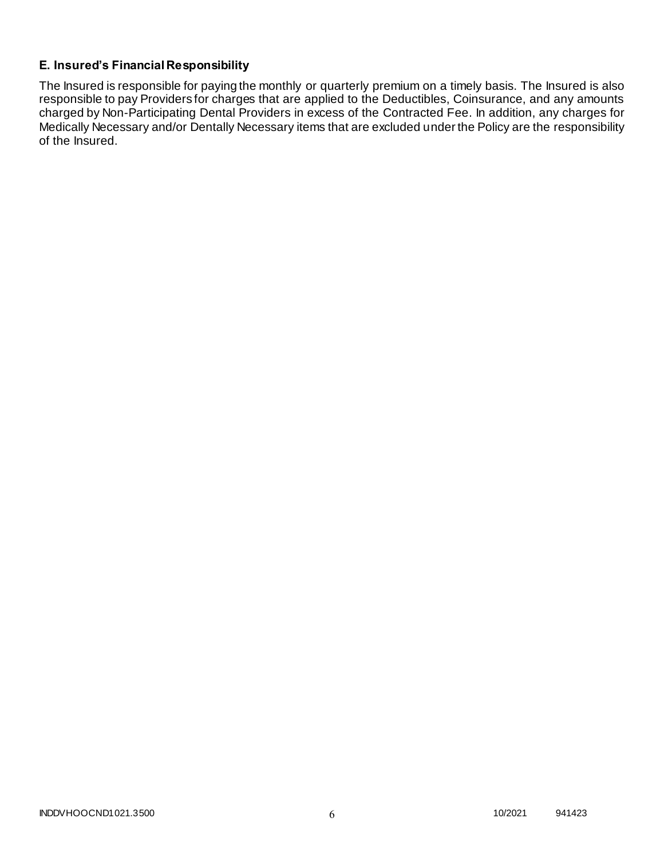## **E. Insured's Financial Responsibility**

The Insured is responsible for paying the monthly or quarterly premium on a timely basis. The Insured is also responsible to pay Providers for charges that are applied to the Deductibles, Coinsurance, and any amounts charged by Non-Participating Dental Providers in excess of the Contracted Fee. In addition, any charges for Medically Necessary and/or Dentally Necessary items that are excluded under the Policy are the responsibility of the Insured.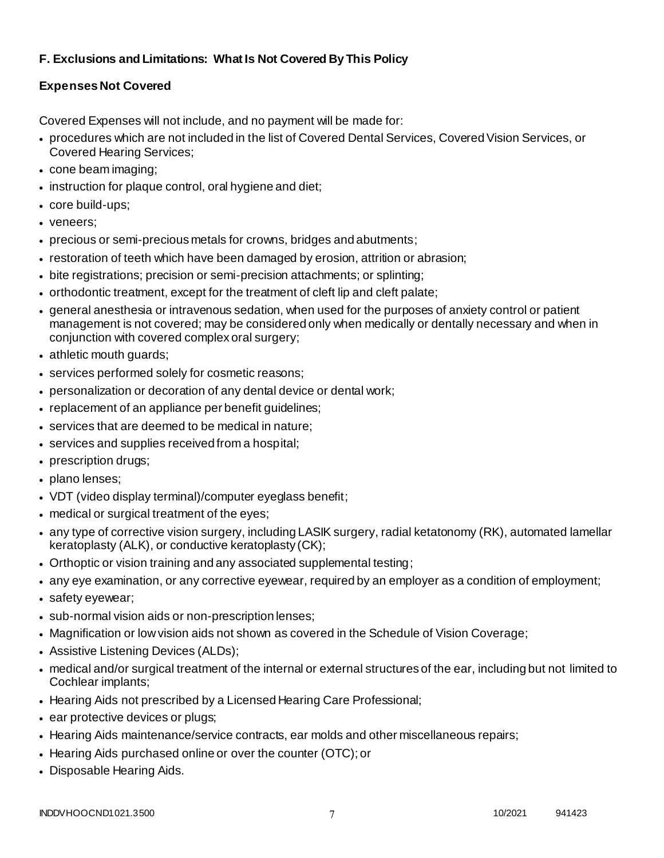# **F. Exclusions and Limitations: What Is Not Covered By This Policy**

# **Expenses Not Covered**

Covered Expenses will not include, and no payment will be made for:

- procedures which are not included in the list of Covered Dental Services, Covered Vision Services, or Covered Hearing Services;
- cone beam imaging;
- instruction for plaque control, oral hygiene and diet;
- core build-ups;
- veneers;
- precious or semi-precious metals for crowns, bridges and abutments;
- restoration of teeth which have been damaged by erosion, attrition or abrasion;
- bite registrations; precision or semi-precision attachments; or splinting;
- orthodontic treatment, except for the treatment of cleft lip and cleft palate;
- general anesthesia or intravenous sedation, when used for the purposes of anxiety control or patient management is not covered; may be considered only when medically or dentally necessary and when in conjunction with covered complex oral surgery;
- athletic mouth guards;
- services performed solely for cosmetic reasons;
- personalization or decoration of any dental device or dental work;
- replacement of an appliance per benefit guidelines;
- services that are deemed to be medical in nature;
- services and supplies received from a hospital;
- prescription drugs;
- plano lenses;
- VDT (video display terminal)/computer eyeglass benefit;
- medical or surgical treatment of the eyes;
- any type of corrective vision surgery, including LASIK surgery, radial ketatonomy (RK), automated lamellar keratoplasty (ALK), or conductive keratoplasty (CK);
- Orthoptic or vision training and any associated supplemental testing;
- any eye examination, or any corrective eyewear, required by an employer as a condition of employment;
- safety eyewear;
- sub-normal vision aids or non-prescription lenses;
- Magnification or low vision aids not shown as covered in the Schedule of Vision Coverage;
- Assistive Listening Devices (ALDs);
- medical and/or surgical treatment of the internal or external structures of the ear, including but not limited to Cochlear implants;
- Hearing Aids not prescribed by a Licensed Hearing Care Professional;
- ear protective devices or plugs;
- Hearing Aids maintenance/service contracts, ear molds and other miscellaneous repairs;
- Hearing Aids purchased online or over the counter (OTC); or
- Disposable Hearing Aids.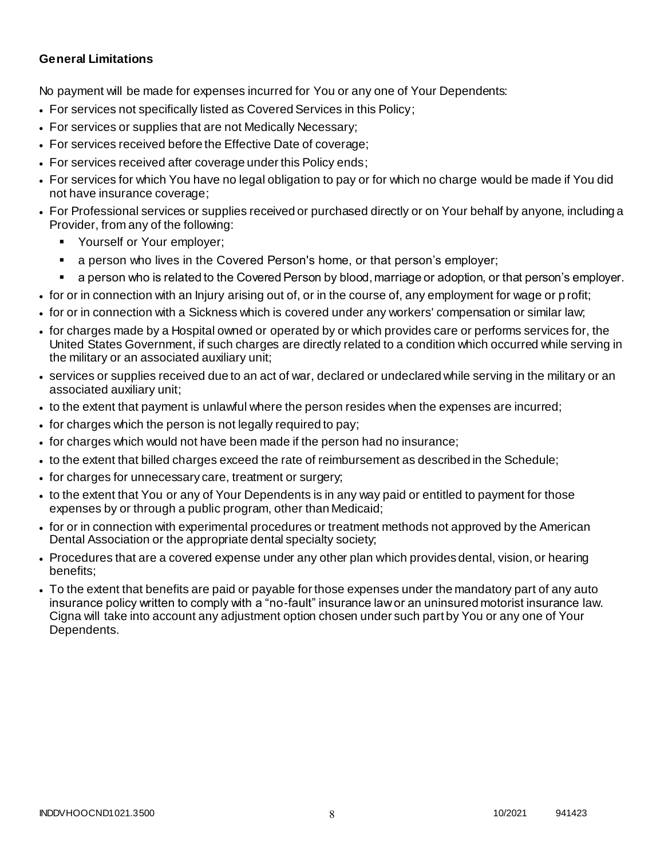### **General Limitations**

No payment will be made for expenses incurred for You or any one of Your Dependents:

- For services not specifically listed as Covered Services in this Policy;
- For services or supplies that are not Medically Necessary;
- For services received before the Effective Date of coverage;
- For services received after coverage under this Policy ends;
- For services for which You have no legal obligation to pay or for which no charge would be made if You did not have insurance coverage;
- For Professional services or supplies received or purchased directly or on Your behalf by anyone, including a Provider, from any of the following:
	- Yourself or Your employer;
	- a person who lives in the Covered Person's home, or that person's employer;
	- a person who is related to the Covered Person by blood, marriage or adoption, or that person's employer.
- for or in connection with an Injury arising out of, or in the course of, any employment for wage or p rofit;
- for or in connection with a Sickness which is covered under any workers' compensation or similar law;
- for charges made by a Hospital owned or operated by or which provides care or performs services for, the United States Government, if such charges are directly related to a condition which occurred while serving in the military or an associated auxiliary unit;
- services or supplies received due to an act of war, declared or undeclared while serving in the military or an associated auxiliary unit;
- to the extent that payment is unlawful where the person resides when the expenses are incurred;
- for charges which the person is not legally required to pay;
- for charges which would not have been made if the person had no insurance;
- to the extent that billed charges exceed the rate of reimbursement as described in the Schedule;
- for charges for unnecessary care, treatment or surgery;
- to the extent that You or any of Your Dependents is in any way paid or entitled to payment for those expenses by or through a public program, other than Medicaid;
- for or in connection with experimental procedures or treatment methods not approved by the American Dental Association or the appropriate dental specialty society;
- Procedures that are a covered expense under any other plan which provides dental, vision, or hearing benefits;
- To the extent that benefits are paid or payable for those expenses under the mandatory part of any auto insurance policy written to comply with a "no-fault" insurance law or an uninsured motorist insurance law. Cigna will take into account any adjustment option chosen under such part by You or any one of Your Dependents.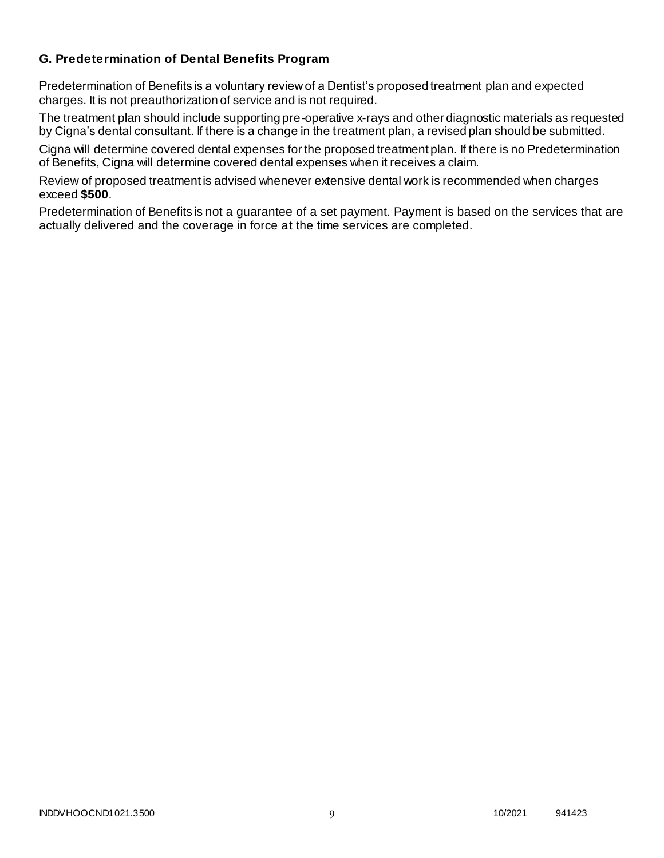### **G. Predetermination of Dental Benefits Program**

Predetermination of Benefits is a voluntary review of a Dentist's proposed treatment plan and expected charges. It is not preauthorization of service and is not required.

The treatment plan should include supporting pre-operative x-rays and other diagnostic materials as requested by Cigna's dental consultant. If there is a change in the treatment plan, a revised plan should be submitted.

Cigna will determine covered dental expenses for the proposed treatment plan. If there is no Predetermination of Benefits, Cigna will determine covered dental expenses when it receives a claim.

Review of proposed treatment is advised whenever extensive dental work is recommended when charges exceed **\$500**.

Predetermination of Benefits is not a guarantee of a set payment. Payment is based on the services that are actually delivered and the coverage in force at the time services are completed.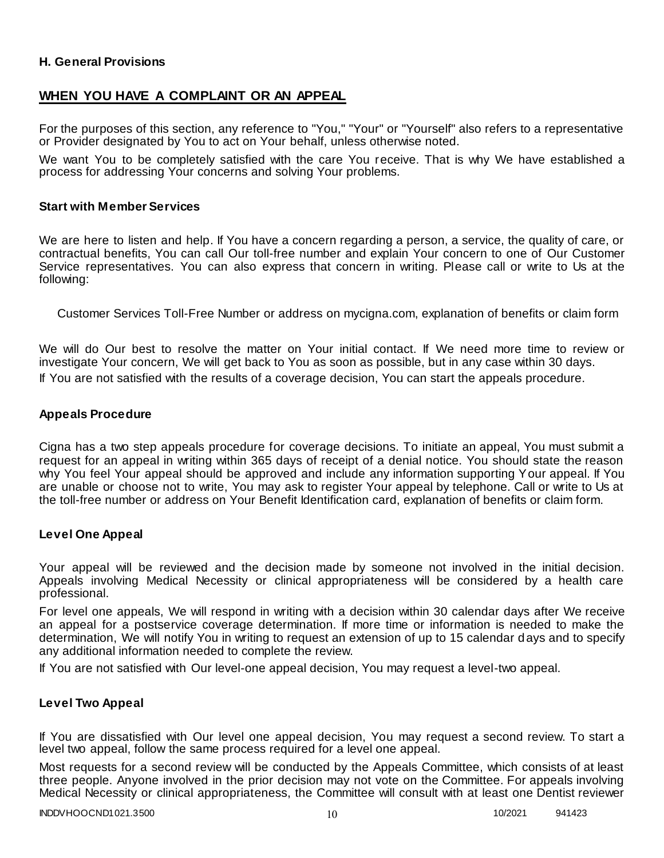### **H. General Provisions**

### **WHEN YOU HAVE A COMPLAINT OR AN APPEAL**

For the purposes of this section, any reference to "You," "Your" or "Yourself" also refers to a representative or Provider designated by You to act on Your behalf, unless otherwise noted.

We want You to be completely satisfied with the care You receive. That is why We have established a process for addressing Your concerns and solving Your problems.

#### **Start with Member Services**

We are here to listen and help. If You have a concern regarding a person, a service, the quality of care, or contractual benefits, You can call Our toll-free number and explain Your concern to one of Our Customer Service representatives. You can also express that concern in writing. Please call or write to Us at the following:

Customer Services Toll-Free Number or address on mycigna.com, explanation of benefits or claim form

We will do Our best to resolve the matter on Your initial contact. If We need more time to review or investigate Your concern, We will get back to You as soon as possible, but in any case within 30 days. If You are not satisfied with the results of a coverage decision, You can start the appeals procedure.

#### **Appeals Procedure**

Cigna has a two step appeals procedure for coverage decisions. To initiate an appeal, You must submit a request for an appeal in writing within 365 days of receipt of a denial notice. You should state the reason why You feel Your appeal should be approved and include any information supporting Your appeal. If You are unable or choose not to write, You may ask to register Your appeal by telephone. Call or write to Us at the toll-free number or address on Your Benefit Identification card, explanation of benefits or claim form.

#### **Level One Appeal**

Your appeal will be reviewed and the decision made by someone not involved in the initial decision. Appeals involving Medical Necessity or clinical appropriateness will be considered by a health care professional.

For level one appeals, We will respond in writing with a decision within 30 calendar days after We receive an appeal for a postservice coverage determination. If more time or information is needed to make the determination, We will notify You in writing to request an extension of up to 15 calendar days and to specify any additional information needed to complete the review.

If You are not satisfied with Our level-one appeal decision, You may request a level-two appeal.

### **Level Two Appeal**

If You are dissatisfied with Our level one appeal decision, You may request a second review. To start a level two appeal, follow the same process required for a level one appeal.

Most requests for a second review will be conducted by the Appeals Committee, which consists of at least three people. Anyone involved in the prior decision may not vote on the Committee. For appeals involving Medical Necessity or clinical appropriateness, the Committee will consult with at least one Dentist reviewer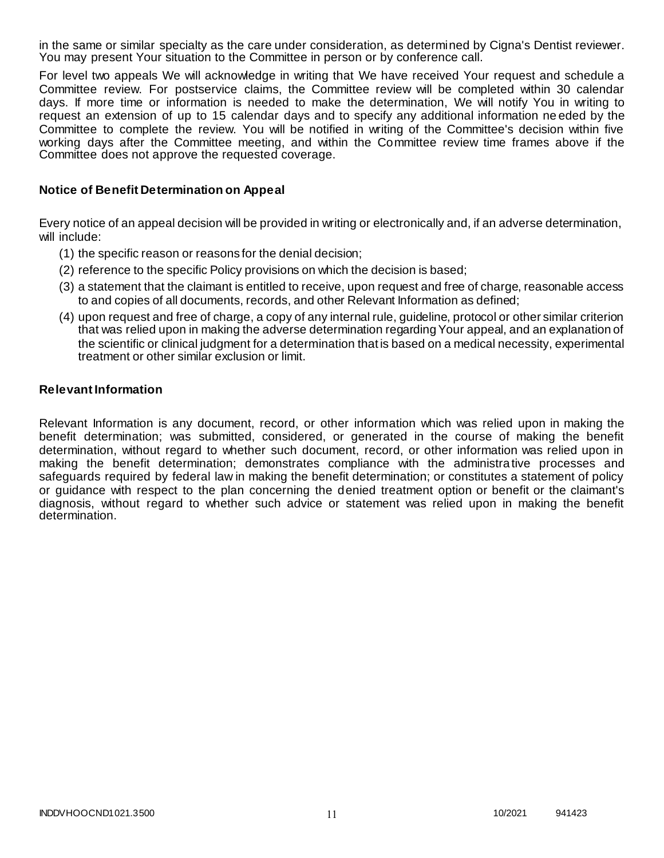in the same or similar specialty as the care under consideration, as determined by Cigna's Dentist reviewer. You may present Your situation to the Committee in person or by conference call.

For level two appeals We will acknowledge in writing that We have received Your request and schedule a Committee review. For postservice claims, the Committee review will be completed within 30 calendar days. If more time or information is needed to make the determination, We will notify You in writing to request an extension of up to 15 calendar days and to specify any additional information ne eded by the Committee to complete the review. You will be notified in writing of the Committee's decision within five working days after the Committee meeting, and within the Committee review time frames above if the Committee does not approve the requested coverage.

### **Notice of Benefit Determination on Appeal**

Every notice of an appeal decision will be provided in writing or electronically and, if an adverse determination, will include:

- (1) the specific reason or reasons for the denial decision;
- (2) reference to the specific Policy provisions on which the decision is based;
- (3) a statement that the claimant is entitled to receive, upon request and free of charge, reasonable access to and copies of all documents, records, and other Relevant Information as defined;
- (4) upon request and free of charge, a copy of any internal rule, guideline, protocol or other similar criterion that was relied upon in making the adverse determination regarding Your appeal, and an explanation of the scientific or clinical judgment for a determination that is based on a medical necessity, experimental treatment or other similar exclusion or limit.

### **Relevant Information**

Relevant Information is any document, record, or other information which was relied upon in making the benefit determination; was submitted, considered, or generated in the course of making the benefit determination, without regard to whether such document, record, or other information was relied upon in making the benefit determination; demonstrates compliance with the administrative processes and safeguards required by federal law in making the benefit determination; or constitutes a statement of policy or guidance with respect to the plan concerning the denied treatment option or benefit or the claimant's diagnosis, without regard to whether such advice or statement was relied upon in making the benefit determination.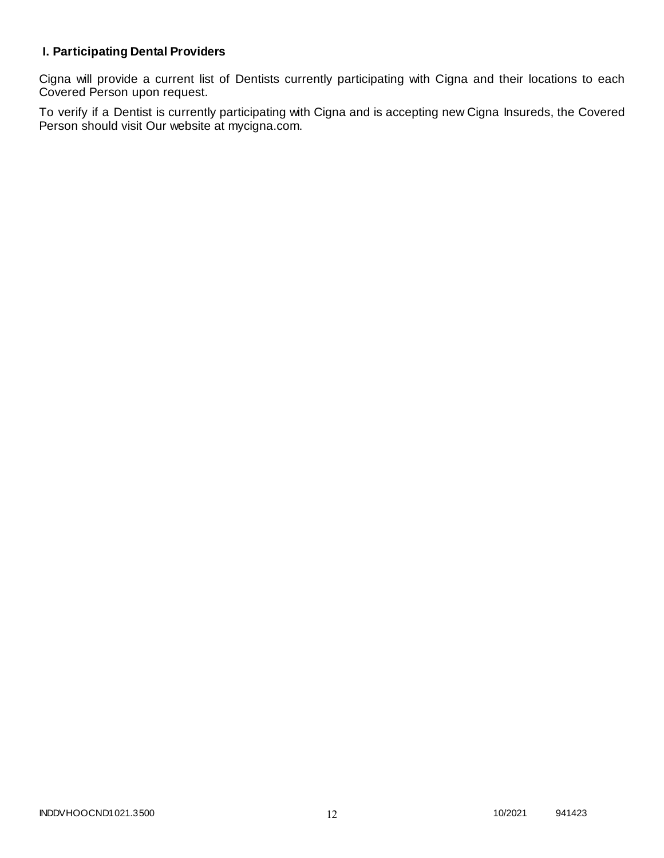# **I. Participating Dental Providers**

Cigna will provide a current list of Dentists currently participating with Cigna and their locations to each Covered Person upon request.

To verify if a Dentist is currently participating with Cigna and is accepting new Cigna Insureds, the Covered Person should visit Our website at mycigna.com.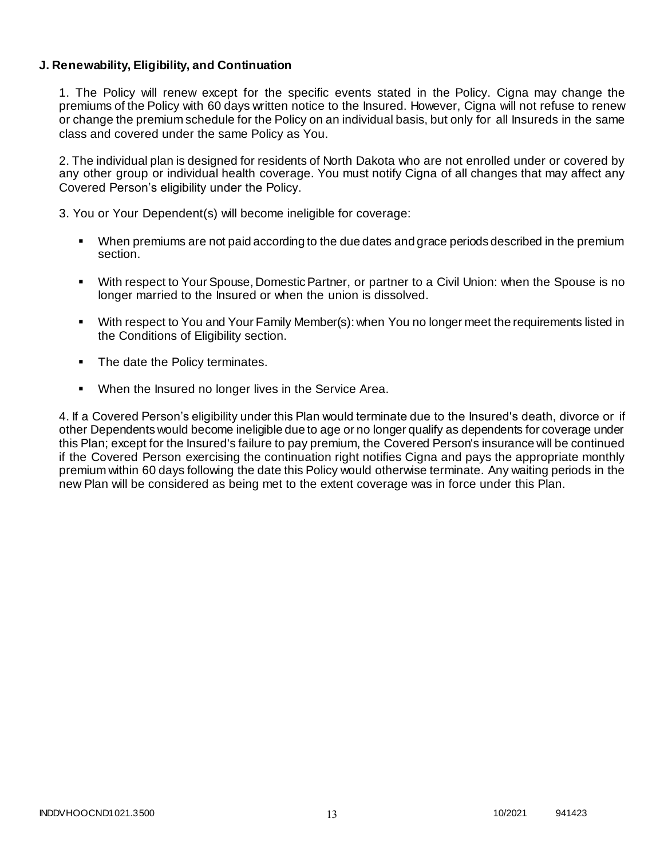### **J. Renewability, Eligibility, and Continuation**

1. The Policy will renew except for the specific events stated in the Policy. Cigna may change the premiums of the Policy with 60 days written notice to the Insured. However, Cigna will not refuse to renew or change the premium schedule for the Policy on an individual basis, but only for all Insureds in the same class and covered under the same Policy as You.

2. The individual plan is designed for residents of North Dakota who are not enrolled under or covered by any other group or individual health coverage. You must notify Cigna of all changes that may affect any Covered Person's eligibility under the Policy.

3. You or Your Dependent(s) will become ineligible for coverage:

- When premiums are not paid according to the due dates and grace periods described in the premium section.
- With respect to Your Spouse, Domestic Partner, or partner to a Civil Union: when the Spouse is no longer married to the Insured or when the union is dissolved.
- With respect to You and Your Family Member(s): when You no longer meet the requirements listed in the Conditions of Eligibility section.
- The date the Policy terminates.
- When the Insured no longer lives in the Service Area.

4. If a Covered Person's eligibility under this Plan would terminate due to the Insured's death, divorce or if other Dependents would become ineligible due to age or no longer qualify as dependents for coverage under this Plan; except for the Insured's failure to pay premium, the Covered Person's insurance will be continued if the Covered Person exercising the continuation right notifies Cigna and pays the appropriate monthly premium within 60 days following the date this Policy would otherwise terminate. Any waiting periods in the new Plan will be considered as being met to the extent coverage was in force under this Plan.